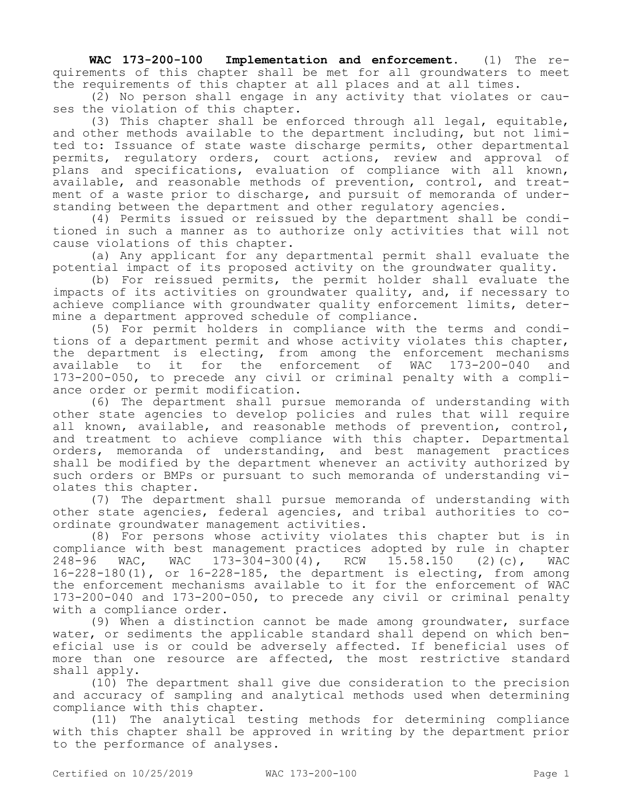**WAC 173-200-100 Implementation and enforcement.** (1) The requirements of this chapter shall be met for all groundwaters to meet the requirements of this chapter at all places and at all times.

(2) No person shall engage in any activity that violates or causes the violation of this chapter.

(3) This chapter shall be enforced through all legal, equitable, and other methods available to the department including, but not limited to: Issuance of state waste discharge permits, other departmental permits, regulatory orders, court actions, review and approval of plans and specifications, evaluation of compliance with all known, available, and reasonable methods of prevention, control, and treatment of a waste prior to discharge, and pursuit of memoranda of understanding between the department and other regulatory agencies.

(4) Permits issued or reissued by the department shall be conditioned in such a manner as to authorize only activities that will not cause violations of this chapter.

(a) Any applicant for any departmental permit shall evaluate the potential impact of its proposed activity on the groundwater quality.

(b) For reissued permits, the permit holder shall evaluate the impacts of its activities on groundwater quality, and, if necessary to achieve compliance with groundwater quality enforcement limits, determine a department approved schedule of compliance.

(5) For permit holders in compliance with the terms and conditions of a department permit and whose activity violates this chapter, the department is electing, from among the enforcement mechanisms available to it for the enforcement of WAC 173-200-040 and 173-200-050, to precede any civil or criminal penalty with a compliance order or permit modification.

(6) The department shall pursue memoranda of understanding with other state agencies to develop policies and rules that will require all known, available, and reasonable methods of prevention, control, and treatment to achieve compliance with this chapter. Departmental orders, memoranda of understanding, and best management practices shall be modified by the department whenever an activity authorized by such orders or BMPs or pursuant to such memoranda of understanding violates this chapter.

(7) The department shall pursue memoranda of understanding with other state agencies, federal agencies, and tribal authorities to coordinate groundwater management activities.

(8) For persons whose activity violates this chapter but is in compliance with best management practices adopted by rule in chapter<br>248-96 WAC, WAC 173-304-300(4), RCW 15.58.150 (2)(c), WAC 248-96 WAC, WAC 173-304-300(4), RCW 15.58.150 (2)(c), WAC 16-228-180(1), or 16-228-185, the department is electing, from among the enforcement mechanisms available to it for the enforcement of WAC 173-200-040 and 173-200-050, to precede any civil or criminal penalty with a compliance order.

(9) When a distinction cannot be made among groundwater, surface water, or sediments the applicable standard shall depend on which beneficial use is or could be adversely affected. If beneficial uses of more than one resource are affected, the most restrictive standard shall apply.

(10) The department shall give due consideration to the precision and accuracy of sampling and analytical methods used when determining compliance with this chapter.

(11) The analytical testing methods for determining compliance with this chapter shall be approved in writing by the department prior to the performance of analyses.